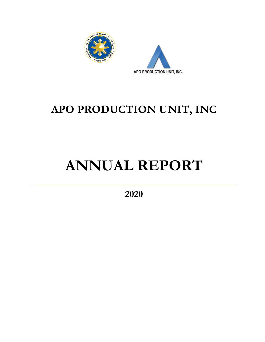



## **APO PRODUCTION UNIT, INC**

## **ANNUAL REPORT**

**2020**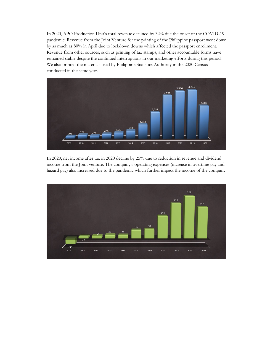In 2020, APO Production Unit's total revenue declined by 32% due the onset of the COVID-19 pandemic. Revenue from the Joint Venture for the printing of the Philippine passport went down by as much as 80% in April due to lockdown downs which affected the passport enrollment. Revenue from other sources, such as printing of tax stamps, and other accountable forms have remained stable despite the continued interruptions in our marketing efforts during this period. We also printed the materials used by Philippine Statistics Authority in the 2020 Census conducted in the same year.



In 2020, net income after tax in 2020 decline by 25% due to reduction in revenue and dividend income from the Joint venture. The company's operating expenses (increase in overtime pay and hazard pay) also increased due to the pandemic which further impact the income of the company.